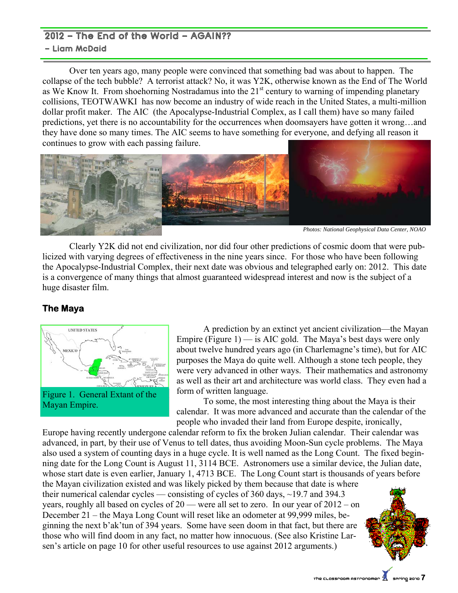# 2012 — The End of the World — AGAIN?? — Liam McDaid

 Over ten years ago, many people were convinced that something bad was about to happen. The collapse of the tech bubble? A terrorist attack? No, it was Y2K, otherwise known as the End of The World as We Know It. From shoehorning Nostradamus into the  $21<sup>st</sup>$  century to warning of impending planetary collisions, TEOTWAWKI has now become an industry of wide reach in the United States, a multi-million dollar profit maker. The AIC (the Apocalypse-Industrial Complex, as I call them) have so many failed predictions, yet there is no accountability for the occurrences when doomsayers have gotten it wrong…and they have done so many times. The AIC seems to have something for everyone, and defying all reason it continues to grow with each passing failure.



 Clearly Y2K did not end civilization, nor did four other predictions of cosmic doom that were publicized with varying degrees of effectiveness in the nine years since. For those who have been following the Apocalypse-Industrial Complex, their next date was obvious and telegraphed early on: 2012. This date is a convergence of many things that almost guaranteed widespread interest and now is the subject of a huge disaster film.

## **The Maya**



 A prediction by an extinct yet ancient civilization—the Mayan Empire (Figure  $1$ ) — is AIC gold. The Maya's best days were only about twelve hundred years ago (in Charlemagne's time), but for AIC purposes the Maya do quite well. Although a stone tech people, they were very advanced in other ways. Their mathematics and astronomy as well as their art and architecture was world class. They even had a form of written language.

 To some, the most interesting thing about the Maya is their calendar. It was more advanced and accurate than the calendar of the people who invaded their land from Europe despite, ironically,

Europe having recently undergone calendar reform to fix the broken Julian calendar. Their calendar was advanced, in part, by their use of Venus to tell dates, thus avoiding Moon-Sun cycle problems. The Maya also used a system of counting days in a huge cycle. It is well named as the Long Count. The fixed beginning date for the Long Count is August 11, 3114 BCE. Astronomers use a similar device, the Julian date, whose start date is even earlier, January 1, 4713 BCE. The Long Count start is thousands of years before the Mayan civilization existed and was likely picked by them because that date is where

their numerical calendar cycles — consisting of cycles of 360 days,  $\sim$ 19.7 and 394.3 years, roughly all based on cycles of 20 — were all set to zero. In our year of 2012 – on December 21 – the Maya Long Count will reset like an odometer at 99,999 miles, beginning the next b'ak'tun of 394 years. Some have seen doom in that fact, but there are those who will find doom in any fact, no matter how innocuous. (See also Kristine Larsen's article on page 10 for other useful resources to use against 2012 arguments.)

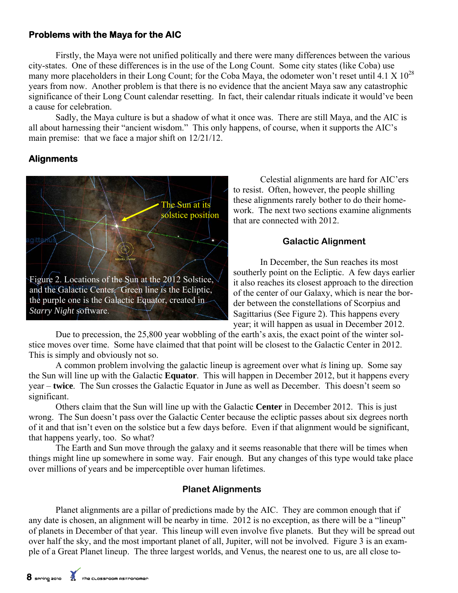## **Problems with the Maya for the AIC**

 Firstly, the Maya were not unified politically and there were many differences between the various city-states. One of these differences is in the use of the Long Count. Some city states (like Coba) use many more placeholders in their Long Count; for the Coba Maya, the odometer won't reset until 4.1 X  $10^{28}$ years from now. Another problem is that there is no evidence that the ancient Maya saw any catastrophic significance of their Long Count calendar resetting. In fact, their calendar rituals indicate it would've been a cause for celebration.

 Sadly, the Maya culture is but a shadow of what it once was. There are still Maya, and the AIC is all about harnessing their "ancient wisdom." This only happens, of course, when it supports the AIC's main premise: that we face a major shift on 12/21/12.

## **Alignments**



 Celestial alignments are hard for AIC'ers to resist. Often, however, the people shilling these alignments rarely bother to do their homework. The next two sections examine alignments that are connected with 2012.

### **Galactic Alignment**

 In December, the Sun reaches its most southerly point on the Ecliptic. A few days earlier it also reaches its closest approach to the direction of the center of our Galaxy, which is near the border between the constellations of Scorpius and Sagittarius (See Figure 2). This happens every year; it will happen as usual in December 2012.

 Due to precession, the 25,800 year wobbling of the earth's axis, the exact point of the winter solstice moves over time. Some have claimed that that point will be closest to the Galactic Center in 2012. This is simply and obviously not so.

 A common problem involving the galactic lineup is agreement over what *is* lining up. Some say the Sun will line up with the Galactic **Equator**. This will happen in December 2012, but it happens every year – **twice**. The Sun crosses the Galactic Equator in June as well as December. This doesn't seem so significant.

 Others claim that the Sun will line up with the Galactic **Center** in December 2012. This is just wrong. The Sun doesn't pass over the Galactic Center because the ecliptic passes about six degrees north of it and that isn't even on the solstice but a few days before. Even if that alignment would be significant, that happens yearly, too. So what?

 The Earth and Sun move through the galaxy and it seems reasonable that there will be times when things might line up somewhere in some way. Fair enough. But any changes of this type would take place over millions of years and be imperceptible over human lifetimes.

### **Planet Alignments**

 Planet alignments are a pillar of predictions made by the AIC. They are common enough that if any date is chosen, an alignment will be nearby in time. 2012 is no exception, as there will be a "lineup" of planets in December of that year. This lineup will even involve five planets. But they will be spread out over half the sky, and the most important planet of all, Jupiter, will not be involved. Figure 3 is an example of a Great Planet lineup. The three largest worlds, and Venus, the nearest one to us, are all close to-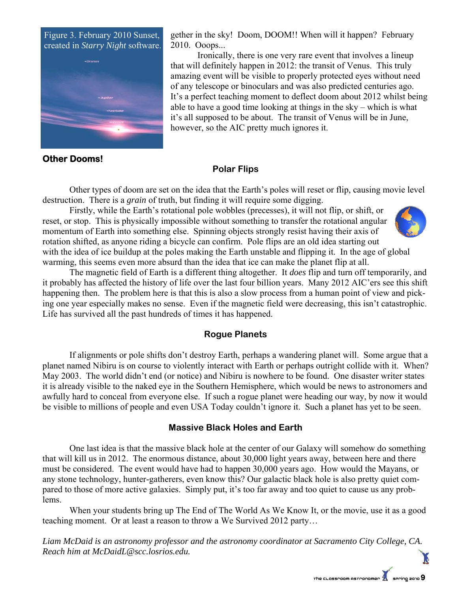

gether in the sky! Doom, DOOM!! When will it happen? February 2010. Ooops...

 Ironically, there is one very rare event that involves a lineup that will definitely happen in 2012: the transit of Venus. This truly amazing event will be visible to properly protected eyes without need of any telescope or binoculars and was also predicted centuries ago. It's a perfect teaching moment to deflect doom about 2012 whilst being able to have a good time looking at things in the sky – which is what it's all supposed to be about. The transit of Venus will be in June, however, so the AIC pretty much ignores it.

## **Other Dooms!**

## **Polar Flips**

 Other types of doom are set on the idea that the Earth's poles will reset or flip, causing movie level destruction. There is a *grain* of truth, but finding it will require some digging.

 Firstly, while the Earth's rotational pole wobbles (precesses), it will not flip, or shift, or reset, or stop. This is physically impossible without something to transfer the rotational angular momentum of Earth into something else. Spinning objects strongly resist having their axis of rotation shifted, as anyone riding a bicycle can confirm. Pole flips are an old idea starting out with the idea of ice buildup at the poles making the Earth unstable and flipping it. In the age of global warming, this seems even more absurd than the idea that ice can make the planet flip at all.

 The magnetic field of Earth is a different thing altogether. It *does* flip and turn off temporarily, and it probably has affected the history of life over the last four billion years. Many 2012 AIC'ers see this shift happening then. The problem here is that this is also a slow process from a human point of view and picking one year especially makes no sense. Even if the magnetic field were decreasing, this isn't catastrophic. Life has survived all the past hundreds of times it has happened.

## **Rogue Planets**

 If alignments or pole shifts don't destroy Earth, perhaps a wandering planet will. Some argue that a planet named Nibiru is on course to violently interact with Earth or perhaps outright collide with it. When? May 2003. The world didn't end (or notice) and Nibiru is nowhere to be found. One disaster writer states it is already visible to the naked eye in the Southern Hemisphere, which would be news to astronomers and awfully hard to conceal from everyone else. If such a rogue planet were heading our way, by now it would be visible to millions of people and even USA Today couldn't ignore it. Such a planet has yet to be seen.

## **Massive Black Holes and Earth**

 One last idea is that the massive black hole at the center of our Galaxy will somehow do something that will kill us in 2012. The enormous distance, about 30,000 light years away, between here and there must be considered. The event would have had to happen 30,000 years ago. How would the Mayans, or any stone technology, hunter-gatherers, even know this? Our galactic black hole is also pretty quiet compared to those of more active galaxies. Simply put, it's too far away and too quiet to cause us any problems.

When your students bring up The End of The World As We Know It, or the movie, use it as a good teaching moment. Or at least a reason to throw a We Survived 2012 party…

*Liam McDaid is an astronomy professor and the astronomy coordinator at Sacramento City College, CA. Reach him at McDaidL@scc.losrios.edu.* 

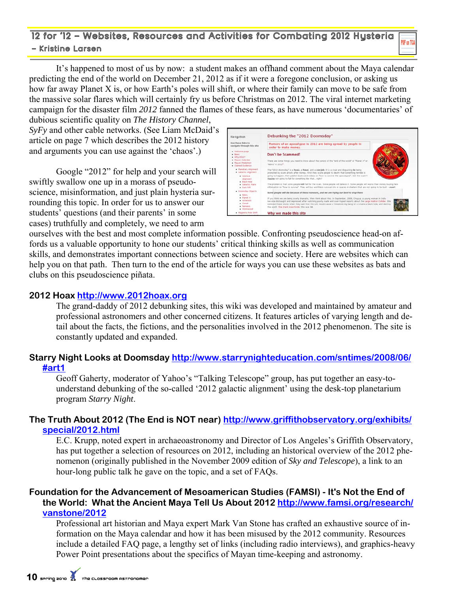# 12 for '12 — Websites, Resources and Activities for Combating 2012 Hysteria — Kristine Larsen

 It's happened to most of us by now: a student makes an offhand comment about the Maya calendar predicting the end of the world on December 21, 2012 as if it were a foregone conclusion, or asking us how far away Planet X is, or how Earth's poles will shift, or where their family can move to be safe from the massive solar flares which will certainly fry us before Christmas on 2012. The viral internet marketing campaign for the disaster film *2012* fanned the flames of these fears, as have numerous 'documentaries' of

dubious scientific quality on *The History Channel*, *SyFy* and other cable networks. (See Liam McDaid's article on page 7 which describes the 2012 history and arguments you can use against the 'chaos'.)

 Google "2012" for help and your search will swiftly swallow one up in a morass of pseudoscience, misinformation, and just plain hysteria surrounding this topic. In order for us to answer our students' questions (and their parents' in some cases) truthfully and completely, we need to arm



ourselves with the best and most complete information possible. Confronting pseudoscience head-on affords us a valuable opportunity to hone our students' critical thinking skills as well as communication skills, and demonstrates important connections between science and society. Here are websites which can help you on that path. Then turn to the end of the article for ways you can use these websites as bats and clubs on this pseudoscience piñata.

### **2012 Hoax http://www.2012hoax.org**

The grand-daddy of 2012 debunking sites, this wiki was developed and maintained by amateur and professional astronomers and other concerned citizens. It features articles of varying length and detail about the facts, the fictions, and the personalities involved in the 2012 phenomenon. The site is constantly updated and expanded.

## **Starry Night Looks at Doomsday http://www.starrynighteducation.com/sntimes/2008/06/ #art1**

Geoff Gaherty, moderator of Yahoo's "Talking Telescope" group, has put together an easy-tounderstand debunking of the so-called '2012 galactic alignment' using the desk-top planetarium program *Starry Night*.

### **The Truth About 2012 (The End is NOT near) http://www.griffithobservatory.org/exhibits/ special/2012.html**

E.C. Krupp, noted expert in archaeoastronomy and Director of Los Angeles's Griffith Observatory, has put together a selection of resources on 2012, including an historical overview of the 2012 phenomenon (originally published in the November 2009 edition of *Sky and Telescope*), a link to an hour-long public talk he gave on the topic, and a set of FAQs.

#### **Foundation for the Advancement of Mesoamerican Studies (FAMSI) - It's Not the End of the World: What the Ancient Maya Tell Us About 2012 http://www.famsi.org/research/ vanstone/2012**

Professional art historian and Maya expert Mark Van Stone has crafted an exhaustive source of information on the Maya calendar and how it has been misused by the 2012 community. Resources include a detailed FAQ page, a lengthy set of links (including radio interviews), and graphics-heavy Power Point presentations about the specifics of Mayan time-keeping and astronomy.

**10** sering 2010 The CLASSroom Astronomer

PDF on TCJ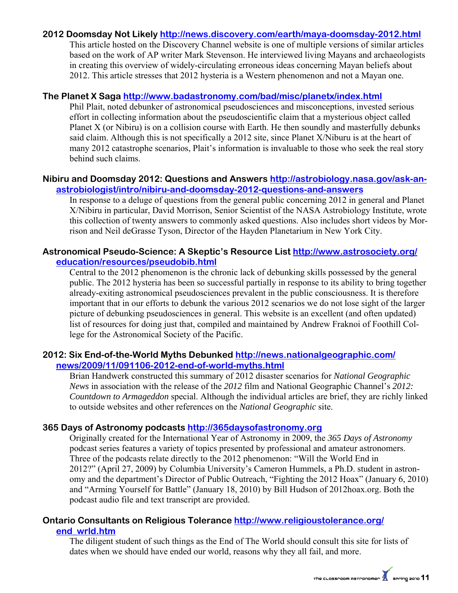#### **2012 Doomsday Not Likely http://news.discovery.com/earth/maya-doomsday-2012.html**

This article hosted on the Discovery Channel website is one of multiple versions of similar articles based on the work of AP writer Mark Stevenson. He interviewed living Mayans and archaeologists in creating this overview of widely-circulating erroneous ideas concerning Mayan beliefs about 2012. This article stresses that 2012 hysteria is a Western phenomenon and not a Mayan one.

#### **The Planet X Saga http://www.badastronomy.com/bad/misc/planetx/index.html**

Phil Plait, noted debunker of astronomical pseudosciences and misconceptions, invested serious effort in collecting information about the pseudoscientific claim that a mysterious object called Planet X (or Nibiru) is on a collision course with Earth. He then soundly and masterfully debunks said claim. Although this is not specifically a 2012 site, since Planet X/Niburu is at the heart of many 2012 catastrophe scenarios, Plait's information is invaluable to those who seek the real story behind such claims.

### **Nibiru and Doomsday 2012: Questions and Answers http://astrobiology.nasa.gov/ask-anastrobiologist/intro/nibiru-and-doomsday-2012-questions-and-answers**

In response to a deluge of questions from the general public concerning 2012 in general and Planet X/Nibiru in particular, David Morrison, Senior Scientist of the NASA Astrobiology Institute, wrote this collection of twenty answers to commonly asked questions. Also includes short videos by Morrison and Neil deGrasse Tyson, Director of the Hayden Planetarium in New York City.

### **Astronomical Pseudo-Science: A Skeptic's Resource List http://www.astrosociety.org/ education/resources/pseudobib.html**

Central to the 2012 phenomenon is the chronic lack of debunking skills possessed by the general public. The 2012 hysteria has been so successful partially in response to its ability to bring together already-exiting astronomical pseudosciences prevalent in the public consciousness. It is therefore important that in our efforts to debunk the various 2012 scenarios we do not lose sight of the larger picture of debunking pseudosciences in general. This website is an excellent (and often updated) list of resources for doing just that, compiled and maintained by Andrew Fraknoi of Foothill College for the Astronomical Society of the Pacific.

### **2012: Six End-of-the-World Myths Debunked http://news.nationalgeographic.com/ news/2009/11/091106-2012-end-of-world-myths.html**

Brian Handwerk constructed this summary of 2012 disaster scenarios for *National Geographic News* in association with the release of the *2012* film and National Geographic Channel's *2012: Countdown to Armageddon* special. Although the individual articles are brief, they are richly linked to outside websites and other references on the *National Geographic* site.

#### **365 Days of Astronomy podcasts http://365daysofastronomy.org**

Originally created for the International Year of Astronomy in 2009, the *365 Days of Astronomy* podcast series features a variety of topics presented by professional and amateur astronomers. Three of the podcasts relate directly to the 2012 phenomenon: "Will the World End in 2012?" (April 27, 2009) by Columbia University's Cameron Hummels, a Ph.D. student in astronomy and the department's Director of Public Outreach, "Fighting the 2012 Hoax" (January 6, 2010) and "Arming Yourself for Battle" (January 18, 2010) by Bill Hudson of 2012hoax.org. Both the podcast audio file and text transcript are provided.

### **Ontario Consultants on Religious Tolerance http://www.religioustolerance.org/ end\_wrld.htm**

The diligent student of such things as the End of The World should consult this site for lists of dates when we should have ended our world, reasons why they all fail, and more.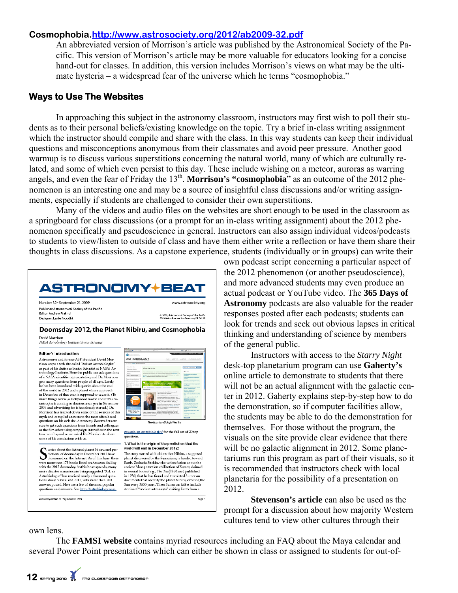#### **Cosmophobia.http://www.astrosociety.org/2012/ab2009-32.pdf**

An abbreviated version of Morrison's article was published by the Astronomical Society of the Pacific. This version of Morrison's article may be more valuable for educators looking for a concise hand-out for classes. In addition, this version includes Morrison's views on what may be the ultimate hysteria – a widespread fear of the universe which he terms "cosmophobia."

#### **Ways to Use The Websites**

 In approaching this subject in the astronomy classroom, instructors may first wish to poll their students as to their personal beliefs/existing knowledge on the topic. Try a brief in-class writing assignment which the instructor should compile and share with the class. In this way students can keep their individual questions and misconceptions anonymous from their classmates and avoid peer pressure. Another good warmup is to discuss various superstitions concerning the natural world, many of which are culturally related, and some of which even persist to this day. These include wishing on a meteor, auroras as warring angels, and even the fear of Friday the 13<sup>th</sup>. **Morrison's "cosmophobia**" as an outcome of the 2012 phenomenon is an interesting one and may be a source of insightful class discussions and/or writing assignments, especially if students are challenged to consider their own superstitions.

 Many of the videos and audio files on the websites are short enough to be used in the classroom as a springboard for class discussions (or a prompt for an in-class writing assignment) about the 2012 phenomenon specifically and pseudoscience in general. Instructors can also assign individual videos/podcasts to students to view/listen to outside of class and have them either write a reflection or have them share their thoughts in class discussions. As a capstone experience, students (individually or in groups) can write their

| Number 32 · September 21, 2009                                                                                                                                                                                                                                                                                                                                                                                                                                                                                                                                                                                                                                                                                                                                                                                                                                                                                                                                                                                                                                                                                | www.astrosociety.org                                                                                                                                                                                                                                                                                                                                                                                                                                                                                                                                                                                            |
|---------------------------------------------------------------------------------------------------------------------------------------------------------------------------------------------------------------------------------------------------------------------------------------------------------------------------------------------------------------------------------------------------------------------------------------------------------------------------------------------------------------------------------------------------------------------------------------------------------------------------------------------------------------------------------------------------------------------------------------------------------------------------------------------------------------------------------------------------------------------------------------------------------------------------------------------------------------------------------------------------------------------------------------------------------------------------------------------------------------|-----------------------------------------------------------------------------------------------------------------------------------------------------------------------------------------------------------------------------------------------------------------------------------------------------------------------------------------------------------------------------------------------------------------------------------------------------------------------------------------------------------------------------------------------------------------------------------------------------------------|
| Publisher: Astronomical Society of the Pacific<br>Editor: Andrew Fraknoi<br>Designer: Leslie Proudfit                                                                                                                                                                                                                                                                                                                                                                                                                                                                                                                                                                                                                                                                                                                                                                                                                                                                                                                                                                                                         | @ 2009, Astronomical Society of the Pacific<br>390 Ashton Avenue, San Francisco, CA 94112                                                                                                                                                                                                                                                                                                                                                                                                                                                                                                                       |
| David Morrison<br>NASA Astrobiology Institute Senior Scientist                                                                                                                                                                                                                                                                                                                                                                                                                                                                                                                                                                                                                                                                                                                                                                                                                                                                                                                                                                                                                                                | Doomsday 2012, the Planet Nibiru, and Cosmophobia                                                                                                                                                                                                                                                                                                                                                                                                                                                                                                                                                               |
| <b>Editor's Introduction</b><br>Astronomer and former ASP President David Mor-<br>rison keeps a web site called "Ask an Astrobiologist"<br>as part of his duties as Senior Scientist at NASA's As-<br>trobiology Institute. Here the public can ask questions<br>of a NASA scientific representative, and Dr. Morrison<br>gets many questions from people of all ages. Lately,<br>he has been inundated with queries about the end<br>of the world in 2012 and a planet whose approach<br>in December of that year is supposed to cause it. (To<br>make things worse, a Hollywood movie about this ca-<br>tastrophe is coming to theaters near you in November<br>2009 and advertising for it has already started.) Dr.<br>Morrison has tracked down some of the sources of this<br>myth and compiled answers to the most often heard<br>questions on his web site. Astronomy Beat readers are<br>sure to get such questions from friends and colleagues<br>as the film advertising campaign intensifies in the next<br>two months, and so we asked Dr. Morrison to share<br>some of his conclusions with us. | $\overline{\phantom{a}}$<br>œ<br><b>ASTROBIOLOGY</b><br>NAL.<br>ASTID.<br>Special Note<br><b>Lot</b> on the<br>AN ASTROBIOLO<br>The Ask an Astrobiologist Web Site<br>gov/ask-an-astrobiologist/ for the full set of 20 top<br>questions.                                                                                                                                                                                                                                                                                                                                                                       |
| tories about the fictional planet Nibiru and pre-<br>dictions of doomsday in December 2012 have<br>blossomed on the Internet. As of this June, there<br>were more than 175 books listed on Amazon dealing<br>with the 2012 doomsday. As this hoax spreads, many<br>more disaster scenarios are being suggested. 'Ask an<br>Astrobiologist" has received nearly a thousand ques-<br>tions about Nibiru and 2012, with more than 200<br>answers posted. Here are a few of the most popular<br>questions and answers. See: http://astrobiology.nasa.                                                                                                                                                                                                                                                                                                                                                                                                                                                                                                                                                             | 1. What is the origin of the prediction that the<br>world will end in December 2012?<br>The story started with claims that Nibiru, a supposed<br>planet discovered by the Sumerians, is headed toward<br>Earth. Zecharia Sitchin, who writes fiction about the<br>ancient Mesopotamian civilization of Sumer, claimed<br>in several books (e.g., The Twelfth Planet, published<br>in 1976) that he has found and translated Sumerian<br>documents that identify the planet Nibiru, orbiting the<br>Sun every 3600 years. These Sumerian fables include<br>stories of "ancient astronauts" visiting Earth from a |

own podcast script concerning a particular aspect of he 2012 phenomenon (or another pseudoscience), and more advanced students may even produce an actual podcast or YouTube video. The **365 Days of Astronomy** podcasts are also valuable for the reader esponses posted after each podcasts; students can look for trends and seek out obvious lapses in critical hinking and understanding of science by members of the general public.

 Instructors with access to the *Starry Night* lesk-top planetarium program can use **Gaherty's** nline article to demonstrate to students that there will not be an actual alignment with the galactic cen $t$ er in 2012. Gaherty explains step-by-step how to do the demonstration, so if computer facilities allow, he students may be able to do the demonstration for hemselves. For those without the program, the isuals on the site provide clear evidence that there will be no galactic alignment in 2012. Some planetariums run this program as part of their visuals, so it is recommended that instructors check with local planetaria for the possibility of a presentation on  $2.012$ .

**Stevenson's article** can also be used as the prompt for a discussion about how majority Western cultures tend to view other cultures through their

own lens.

 The **FAMSI website** contains myriad resources including an FAQ about the Maya calendar and several Power Point presentations which can either be shown in class or assigned to students for out-of